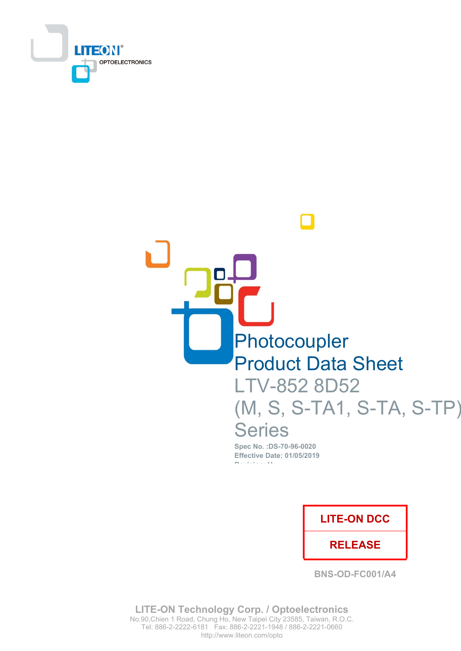

# Photocoupler **Product Data Sheet** LTV-852 8D52 (M, S, S-TA1, S-TA, S-TP) **Series** Spec No.: DS-70-96-0020

**Effective Date: 01/05/2019 Production** (1)

**LITE-ON DCC** 

**RELEASE** 

**BNS-OD-FC001/A4** 

**LITE-ON Technology Corp. / Optoelectronics** No.90, Chien 1 Road, Chung Ho, New Taipei City 23585, Taiwan, R.O.C. Tel: 886-2-2222-6181 Fax: 886-2-2221-1948 / 886-2-2221-0660 http://www.liteon.com/opto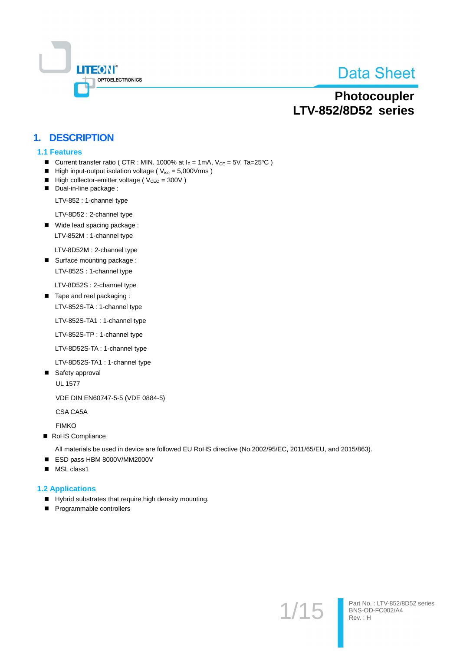

Part No.: LTV-852/8D52 series<br>BNS-OD-FC002/A4

Rev.: H

 $1/1$ 

## Photocoupler **LTV-852/8D52 series**

## 1. DESCRIPTION

#### **1.1 Features**

- Current transfer ratio ( CTR : MIN. 1000% at  $I_F = 1$ mA,  $V_{CE} = 5V$ , Ta=25°C )
- High input-output isolation voltage ( $V_{iso} = 5,000V$ rms)
- $\blacksquare$  High collector-emitter voltage ( $V_{\text{CEO}} = 300V$ )
- Dual-in-line package :

LTV-852 : 1-channel type

LTV-8D52 : 2-channel type

■ Wide lead spacing package :

LTV-852M : 1-channel type

LTV-8D52M : 2-channel type

■ Surface mounting package: LTV-852S : 1-channel type

LTV-8D52S : 2-channel type

Tape and reel packaging: LTV-852S-TA: 1-channel type

LTV-852S-TA1: 1-channel type

LTV-852S-TP: 1-channel type

LTV-8D52S-TA: 1-channel type

LTV-8D52S-TA1: 1-channel type

■ Safety approval

**UL 1577** 

VDE DIN EN60747-5-5 (VDE 0884-5)

CSA CA5A

**FIMKO** 

RoHS Compliance

All materials be used in device are followed EU RoHS directive (No.2002/95/EC, 2011/65/EU, and 2015/863).

- ESD pass HBM 8000V/MM2000V
- MSL class1

#### **1.2 Applications**

- Hybrid substrates that require high density mounting.
- Programmable controllers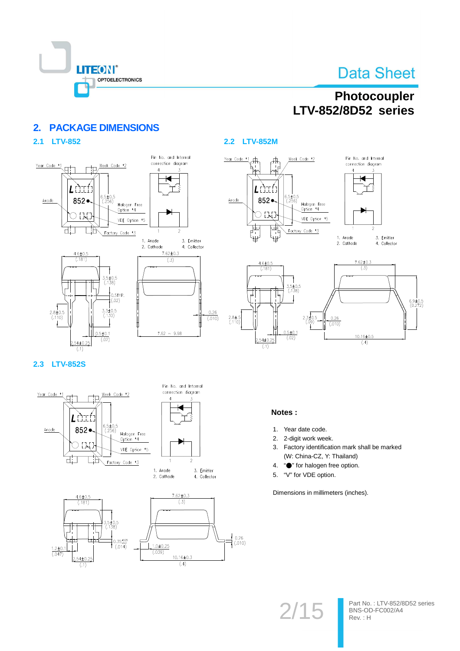

## Photocoupler **LTV-852/8D52 series**

#### **PACKAGE DIMENSIONS**  $2<sup>1</sup>$

## 2.1 LTV-852



## 2.2 LTV-852M





## 2.3 LTV-852S







#### Notes:

- 1. Year date code.
- $2.$ 2-digit work week.
- $3<sup>1</sup>$ Factory identification mark shall be marked (W: China-CZ, Y: Thailand)
- "• for halogen free option.  $\overline{4}$
- 5. "V" for VDE option.

Dimensions in millimeters (inches).

 $2/15$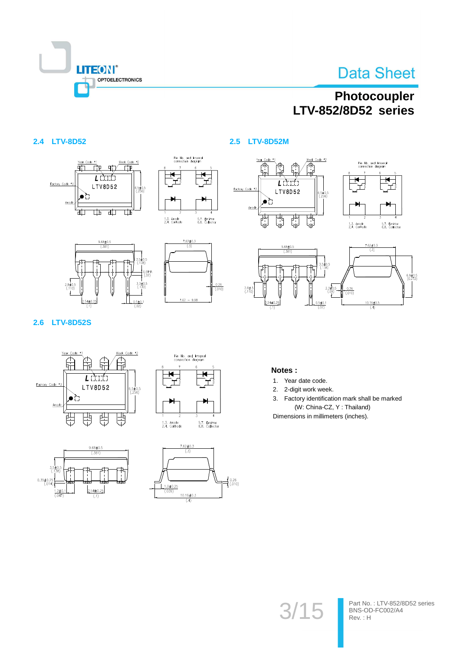

 $\frac{10.16 \pm 0.5}{(.4)}$ 

## Photocoupler LTV-852/8D52 series

## 2.4 LTV-8D52











#### 2.6 LTV-8D52S









#### Notes:

- 1. Year date code.
- 2. 2-digit work week.
- 3. Factory identification mark shall be marked (W: China-CZ, Y: Thailand)

Dimensions in millimeters (inches).

 $3/15$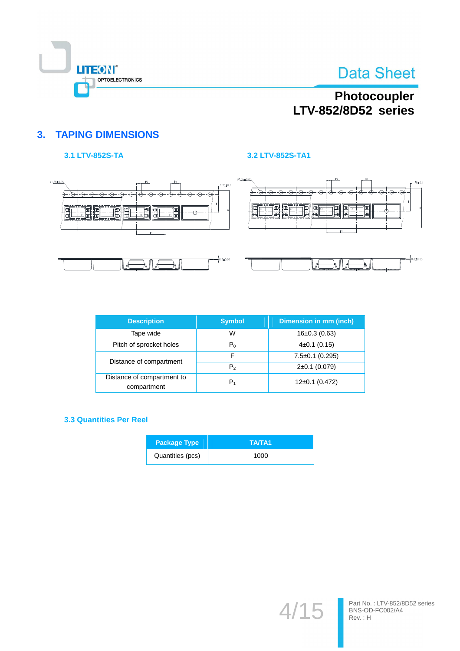

## Photocoupler LTV-852/8D52 series

## **3. TAPING DIMENSIONS**

## 3.1 LTV-852S-TA

#### 3.2 LTV-852S-TA1



| <b>Description</b>                        | <b>Symbol</b>  | Dimension in mm (inch) |
|-------------------------------------------|----------------|------------------------|
| Tape wide                                 | W              | $16\pm0.3$ (0.63)      |
| Pitch of sprocket holes                   | $P_0$          | $4\pm0.1$ (0.15)       |
| Distance of compartment                   | F              | $7.5 \pm 0.1$ (0.295)  |
|                                           | P <sub>2</sub> | $2\pm0.1$ (0.079)      |
| Distance of compartment to<br>compartment | $P_1$          | $12\pm0.1$ (0.472)     |

## **3.3 Quantities Per Reel**

| <b>Package Type</b> | TA/TA1 |
|---------------------|--------|
| Quantities (pcs)    | 1000   |

 $4/15$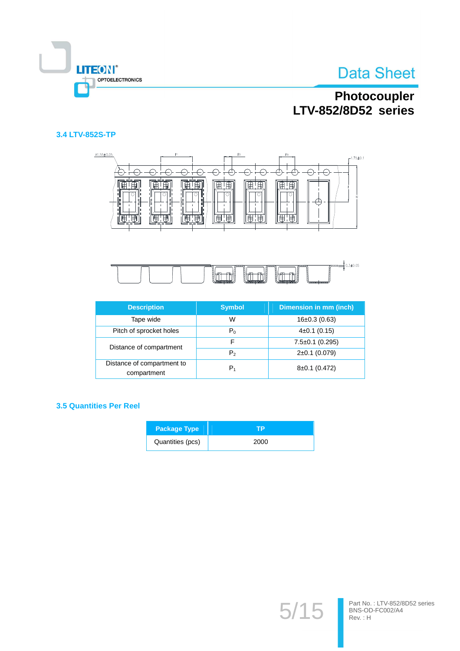



## Photocoupler LTV-852/8D52 series

#### 3.4 LTV-852S-TP





| <b>Description</b>                        | <b>Symbol</b>  | Dimension in mm (inch) |
|-------------------------------------------|----------------|------------------------|
| Tape wide                                 | W              | $16\pm0.3$ (0.63)      |
| Pitch of sprocket holes                   | $P_0$          | $4\pm0.1$ (0.15)       |
| Distance of compartment                   |                | $7.5 \pm 0.1$ (0.295)  |
|                                           | P <sub>2</sub> | $2\pm0.1$ (0.079)      |
| Distance of compartment to<br>compartment | P1             | $8\pm0.1$ (0.472)      |

#### **3.5 Quantities Per Reel**

| <b>Package Type</b> | ГP   |
|---------------------|------|
| Quantities (pcs)    | 2000 |

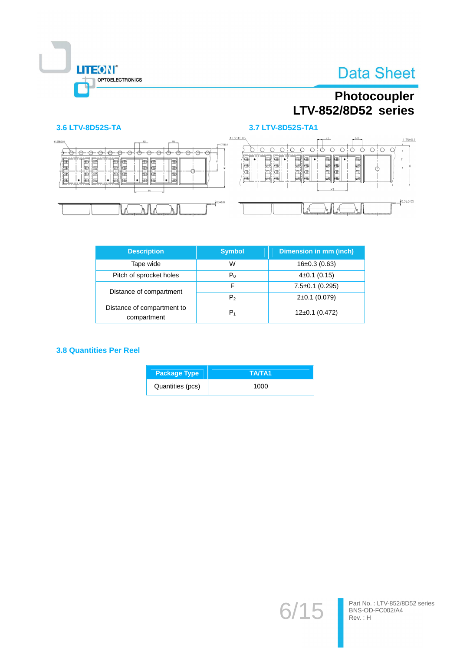

## Photocoupler LTV-852/8D52 series

### 3.6 LTV-8D52S-TA





3.7 LTV-8D52S-TA1

| <b>Description</b>                        | <b>Symbol</b>  | Dimension in mm (inch) |
|-------------------------------------------|----------------|------------------------|
| Tape wide                                 | W              | $16\pm0.3$ (0.63)      |
| Pitch of sprocket holes                   | $P_0$          | $4\pm0.1$ (0.15)       |
| Distance of compartment                   | F              | $7.5 \pm 0.1$ (0.295)  |
|                                           | P <sub>2</sub> | $2\pm0.1$ (0.079)      |
| Distance of compartment to<br>compartment | $P_1$          | $12\pm0.1$ (0.472)     |

#### **3.8 Quantities Per Reel**

| <b>Package Type</b> | TA/TA1 |
|---------------------|--------|
| Quantities (pcs)    | 1000   |

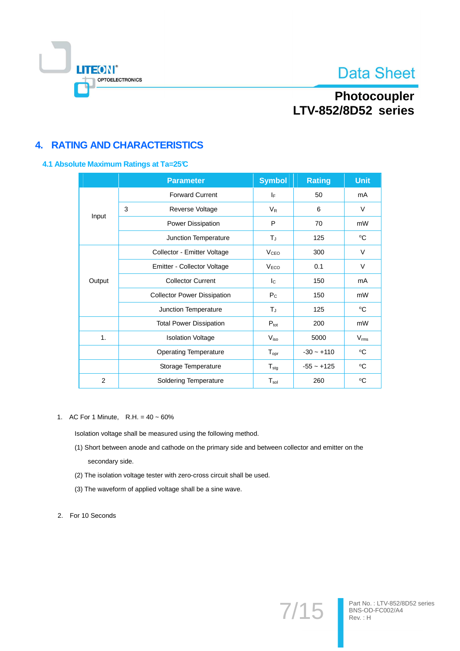

Part No.: LTV-852/8D52 series<br>BNS-OD-FC002/A4<br>Rev.: H

 $7/15$ 

## Photocoupler LTV-852/8D52 series

## **4. RATING AND CHARACTERISTICS**

#### 4.1 Absolute Maximum Ratings at Ta=25°C

|                      | <b>Parameter</b>                   | <b>Symbol</b>          | <b>Rating</b> | <b>Unit</b>   |
|----------------------|------------------------------------|------------------------|---------------|---------------|
|                      | <b>Forward Current</b>             | I⊧                     | 50            | mA            |
|                      | 3<br>Reverse Voltage               | $V_{R}$                | 6             | $\vee$        |
| Input                | Power Dissipation                  | P                      | 70            | mW            |
| Junction Temperature |                                    | $T_{\rm J}$            | 125           | °C            |
|                      | Collector - Emitter Voltage        | <b>V<sub>CEO</sub></b> | 300           | $\vee$        |
|                      | Emitter - Collector Voltage        | V <sub>ECO</sub>       | 0.1           | $\vee$        |
| Output               | <b>Collector Current</b>           | $I_{\rm C}$            | 150           | mA            |
|                      | <b>Collector Power Dissipation</b> | $P_{C}$                | 150           | mW            |
|                      | Junction Temperature               | $T_J$                  | 125           | $\rm ^{o}C$   |
|                      | <b>Total Power Dissipation</b>     | $P_{\text{tot}}$       | 200           | mW            |
| 1.                   | <b>Isolation Voltage</b>           | $V_{\rm iso}$          | 5000          | $V_{\rm rms}$ |
|                      | <b>Operating Temperature</b>       | $T_{\text{opr}}$       | $-30 - +110$  | $\rm ^{o}C$   |
|                      | Storage Temperature                | $T_{\text{stg}}$       | $-55 - +125$  | °C            |
| 2                    | <b>Soldering Temperature</b>       | $T_{sol}$              | 260           | °C            |

1. AC For 1 Minute, R.H. =  $40 \sim 60\%$ 

Isolation voltage shall be measured using the following method.

- (1) Short between anode and cathode on the primary side and between collector and emitter on the secondary side.
- (2) The isolation voltage tester with zero-cross circuit shall be used.
- (3) The waveform of applied voltage shall be a sine wave.
- 2. For 10 Seconds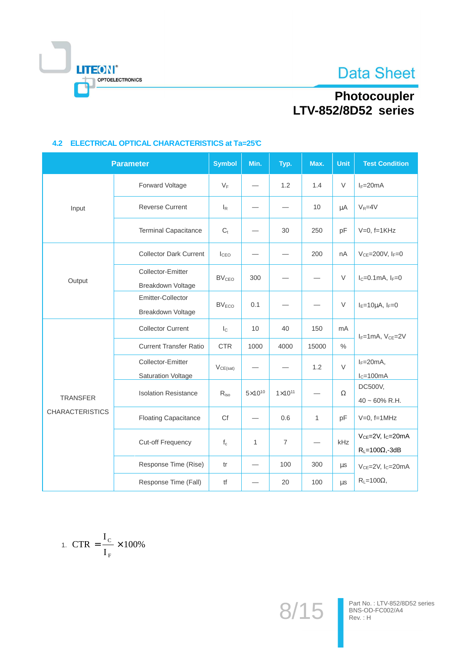**Data Sheet** 



# Photocoupler<br>LTV-852/8D52 series

|                        | <b>Parameter</b>                               | <b>Symbol</b>           | Min.               | Typ.               | Max.  | <b>Unit</b> | <b>Test Condition</b>                                           |
|------------------------|------------------------------------------------|-------------------------|--------------------|--------------------|-------|-------------|-----------------------------------------------------------------|
|                        | Forward Voltage                                | $V_F$                   |                    | 1.2                | 1.4   | $\vee$      | $I_F=20mA$                                                      |
| Input                  | <b>Reverse Current</b>                         | $I_R$                   |                    |                    | 10    | μA          | $V_R = 4V$                                                      |
|                        | <b>Terminal Capacitance</b>                    | $C_{t}$                 |                    | 30                 | 250   | pF          | $V=0$ , f=1 $KHz$                                               |
|                        | <b>Collector Dark Current</b>                  | I <sub>CEO</sub>        |                    |                    | 200   | nA          | $V_{CE}$ =200V, $I_F$ =0                                        |
| Output                 | Collector-Emitter<br>Breakdown Voltage         | <b>BV<sub>CEO</sub></b> | 300                |                    |       | $\vee$      | $I_C = 0.1$ mA, $I_F = 0$                                       |
|                        | Emitter-Collector<br>Breakdown Voltage         | <b>BV<sub>ECO</sub></b> | 0.1                |                    |       | $\vee$      | $I_E=10\mu A$ , $I_F=0$                                         |
|                        | <b>Collector Current</b>                       | $\mathsf{I}_\mathbb{C}$ | 10                 | 40                 | 150   | mA          | $I_F=1mA$ , $V_{CE}=2V$                                         |
|                        | <b>Current Transfer Ratio</b>                  | <b>CTR</b>              | 1000               | 4000               | 15000 | $\%$        |                                                                 |
|                        | Collector-Emitter<br><b>Saturation Voltage</b> | $V_{CE(sat)}$           |                    |                    | 1.2   | $\vee$      | $I_F=20mA,$<br>$I_C = 100mA$                                    |
| <b>TRANSFER</b>        | <b>Isolation Resistance</b>                    | $R_{iso}$               | $5 \times 10^{10}$ | $1 \times 10^{11}$ |       | $\Omega$    | DC500V,<br>$40 \sim 60\%$ R.H.                                  |
| <b>CHARACTERISTICS</b> | <b>Floating Capacitance</b>                    | Cf                      |                    | 0.6                | 1     | pF          | $V=0$ , f=1MHz                                                  |
|                        | Cut-off Frequency                              | $f_c$                   | $\mathbf{1}$       | $\overline{7}$     |       | kHz         | $V_{CE} = 2V$ , I <sub>C</sub> =20mA<br>$R_L = 100\Omega, -3dB$ |
|                        | Response Time (Rise)                           | tr                      |                    | 100                | 300   | μs          | $V_{CE} = 2V$ , I <sub>C</sub> =20mA                            |
|                        | Response Time (Fall)                           | tf                      |                    | 20                 | 100   | μs          | $R_L = 100\Omega$ ,                                             |

## 4.2 ELECTRICAL OPTICAL CHARACTERISTICS at Ta=25°C

$$
1. \ \mathrm{CTR} = \frac{I_{\mathrm{C}}}{I_{\mathrm{F}}} \times 100\%
$$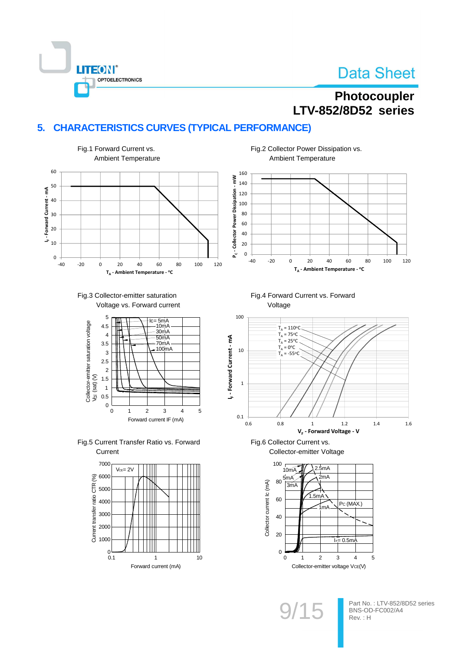## Photocoupler **LTV-852/8D52** series

## 5. CHARACTERISTICS CURVES (TYPICAL PERFORMANCE)



**LITEON®** 

**OPTOELECTRONICS** 





Fig.5 Current Transfer Ratio vs. Forward Current



Fig.2 Collector Power Dissipation vs. **Ambient Temperature** 

Fig.4 Forward Current vs. Forward





Fig.6 Collector Current vs.

Collector-emitter Voltage

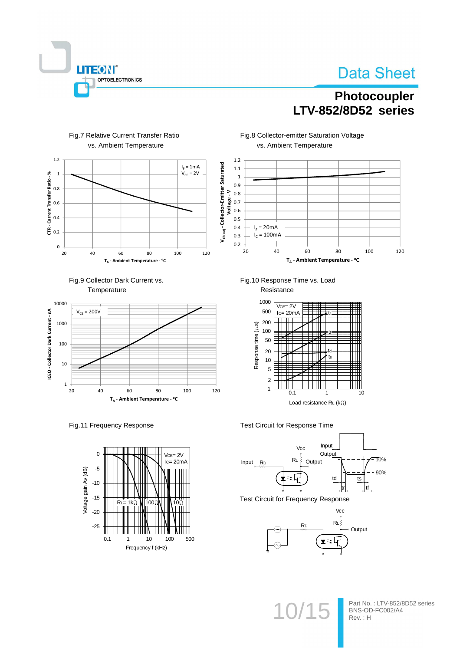

## Photocoupler LTV-852/8D52 series



#### Fig.7 Relative Current Transfer Ratio vs. Ambient Temperature





Fig.11 Frequency Response



Fig.8 Collector-emitter Saturation Voltage vs. Ambient Temperature



Fig.10 Response Time vs. Load Resistance



Test Circuit for Response Time



**Test Circuit for Frequency Response** 



 $1($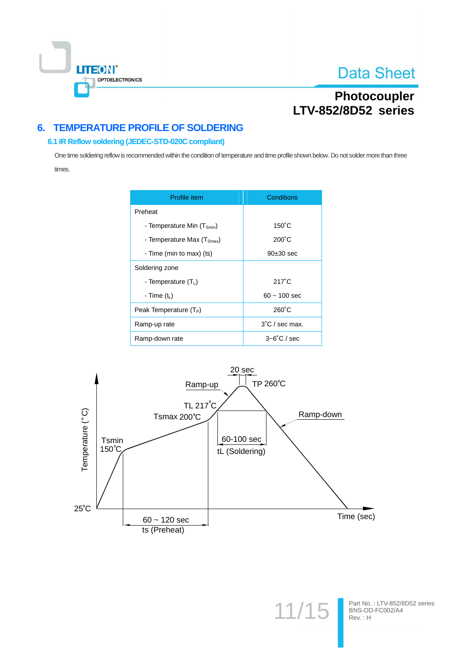

## Photocoupler LTV-852/8D52 series

## **6. TEMPERATURE PROFILE OF SOLDERING**

#### 6.1 IR Reflow soldering (JEDEC-STD-020C compliant)

One time soldering reflow is recommended within the condition of temperature and time profile shown below. Do not solder more than three times.

| Profile item                   | Conditions               |  |  |
|--------------------------------|--------------------------|--|--|
| Preheat                        |                          |  |  |
| - Temperature Min $(T_{smin})$ | $150^{\circ}$ C          |  |  |
| - Temperature Max $(TSmax)$    | $200^{\circ}$ C          |  |  |
| - Time (min to max) (ts)       | 90±30 sec                |  |  |
| Soldering zone                 |                          |  |  |
| - Temperature $(T_1)$          | $217^{\circ}$ C          |  |  |
| - Time $(tL)$                  | $60 - 100$ sec           |  |  |
| Peak Temperature $(T_P)$       | $260^{\circ}$ C          |  |  |
| Ramp-up rate                   | $3^{\circ}$ C / sec max. |  |  |
| Ramp-down rate                 | $3 - 6^\circ$ C / sec    |  |  |



Part No.: LTV-852/8D52 series<br>BNS-OD-FC002/A4<br>Rev.: H

 $11/1$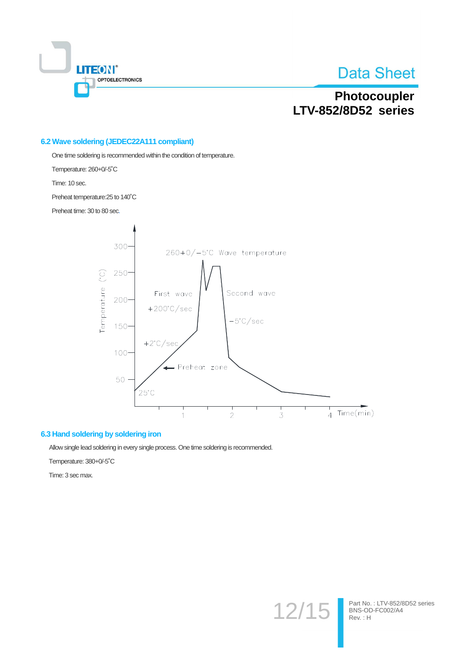

## Photocoupler LTV-852/8D52 series

#### 6.2 Wave soldering (JEDEC22A111 compliant)

One time soldering is recommended within the condition of temperature.

Temperature: 260+0/-5°C

Time: 10 sec.

Preheat temperature: 25 to 140°C

Preheat time: 30 to 80 sec.



#### 6.3 Hand soldering by soldering iron

Allow single lead soldering in every single process. One time soldering is recommended.

Temperature: 380+0/-5°C

Time: 3 sec max.

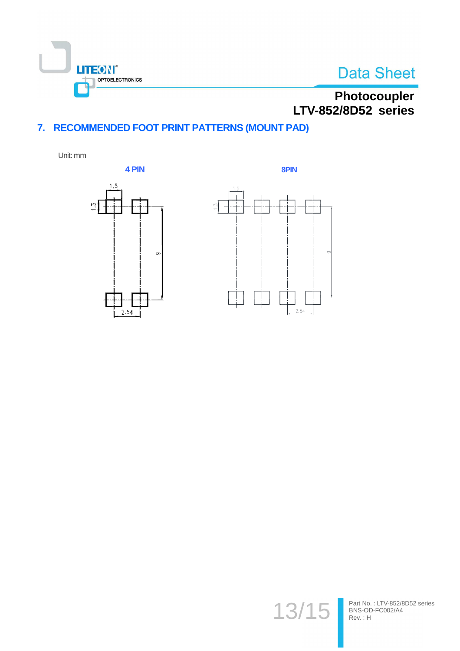

# Photocoupler LTV-852/8D52 series

## 7. RECOMMENDED FOOT PRINT PATTERNS (MOUNT PAD)

Unit: mm





 $13/$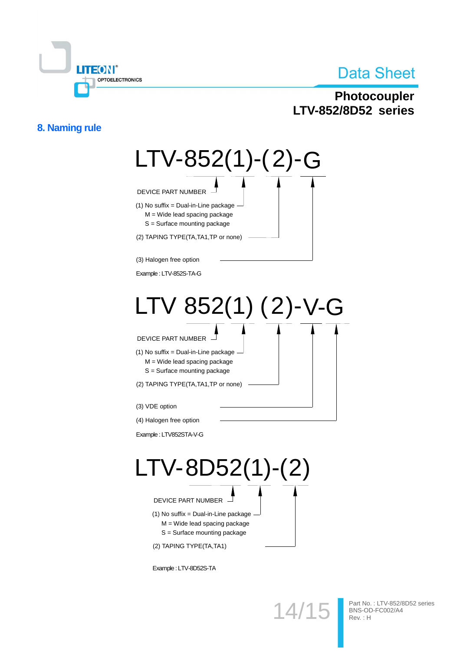

## Photocoupler LTV-852/8D52 series

## 8. Naming rule



Example: LTV-8D52S-TA

 $14/7$